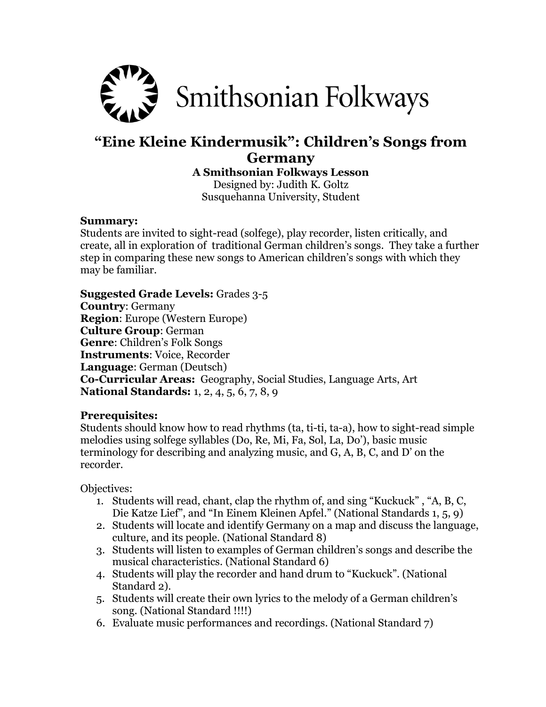

## **"Eine Kleine Kindermusik": Children's Songs from Germany**

**A Smithsonian Folkways Lesson**

Designed by: Judith K. Goltz Susquehanna University, Student

#### **Summary:**

Students are invited to sight-read (solfege), play recorder, listen critically, and create, all in exploration of traditional German children's songs. They take a further step in comparing these new songs to American children's songs with which they may be familiar.

**Suggested Grade Levels:** Grades 3-5 **Country**: Germany **Region**: Europe (Western Europe) **Culture Group**: German **Genre**: Children's Folk Songs **Instruments**: Voice, Recorder **Language**: German (Deutsch) **Co-Curricular Areas:** Geography, Social Studies, Language Arts, Art **National Standards:** 1, 2, 4, 5, 6, 7, 8, 9

#### **Prerequisites:**

Students should know how to read rhythms (ta, ti-ti, ta-a), how to sight-read simple melodies using solfege syllables (Do, Re, Mi, Fa, Sol, La, Do'), basic music terminology for describing and analyzing music, and G, A, B, C, and D' on the recorder.

Objectives:

- 1. Students will read, chant, clap the rhythm of, and sing "Kuckuck" , "A, B, C, Die Katze Lief", and "In Einem Kleinen Apfel." (National Standards 1, 5, 9)
- 2. Students will locate and identify Germany on a map and discuss the language, culture, and its people. (National Standard 8)
- 3. Students will listen to examples of German children's songs and describe the musical characteristics. (National Standard 6)
- 4. Students will play the recorder and hand drum to "Kuckuck". (National Standard 2).
- 5. Students will create their own lyrics to the melody of a German children's song. (National Standard !!!!)
- 6. Evaluate music performances and recordings. (National Standard 7)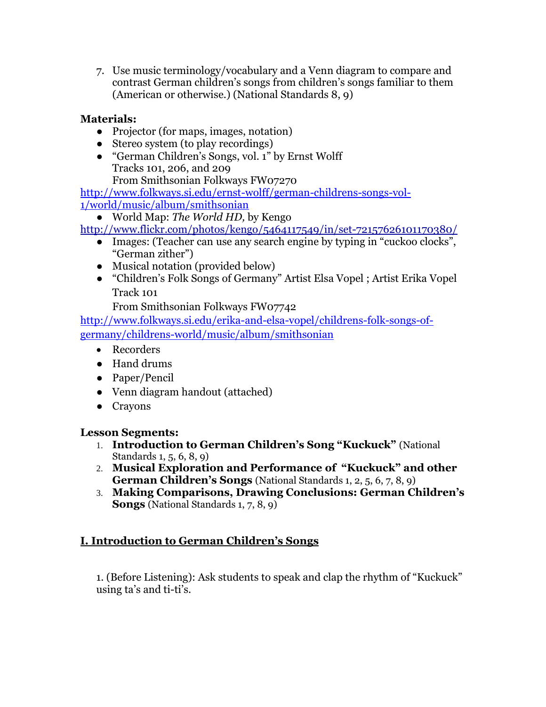7. Use music terminology/vocabulary and a Venn diagram to compare and contrast German children's songs from children's songs familiar to them (American or otherwise.) (National Standards 8, 9)

## **Materials:**

- *●* Projector (for maps, images, notation)
- *●* Stereo system (to play recordings)
- *●* "German Children's Songs, vol. 1" by Ernst Wolff Tracks 101, 206, and 209

From Smithsonian Folkways FW07270

[http://www.folkways.si.edu/ernst-wolff/german-childrens-songs-vol-](http://www.folkways.si.edu/ernst-wolff/german-childrens-songs-vol-1/world/music/album/smithsonian)

[1/world/music/album/smithsonian](http://www.folkways.si.edu/ernst-wolff/german-childrens-songs-vol-1/world/music/album/smithsonian)

● World Map: *The World HD,* by Kengo

<http://www.flickr.com/photos/kengo/5464117549/in/set-72157626101170380/>

- Images: (Teacher can use any search engine by typing in "cuckoo clocks", "German zither")
- Musical notation (provided below)
- "Children's Folk Songs of Germany" Artist Elsa Vopel ; Artist Erika Vopel Track 101

From Smithsonian Folkways FW07742

[http://www.folkways.si.edu/erika-and-elsa-vopel/childrens-folk-songs-of](http://www.folkways.si.edu/erika-and-elsa-vopel/childrens-folk-songs-of-germany/childrens-world/music/album/smithsonian)[germany/childrens-world/music/album/smithsonian](http://www.folkways.si.edu/erika-and-elsa-vopel/childrens-folk-songs-of-germany/childrens-world/music/album/smithsonian)

- Recorders
- Hand drums
- Paper/Pencil
- Venn diagram handout (attached)
- Crayons

#### **Lesson Segments:**

- 1. **Introduction to German Children's Song "Kuckuck"** (National Standards 1, 5, 6, 8, 9)
- 2. **Musical Exploration and Performance of "Kuckuck" and other German Children's Songs** (National Standards 1, 2, 5, 6, 7, 8, 9)
- 3. **Making Comparisons, Drawing Conclusions: German Children's Songs** (National Standards 1, 7, 8, 9)

## **I. Introduction to German Children's Songs**

1. (Before Listening): Ask students to speak and clap the rhythm of "Kuckuck" using ta's and ti-ti's.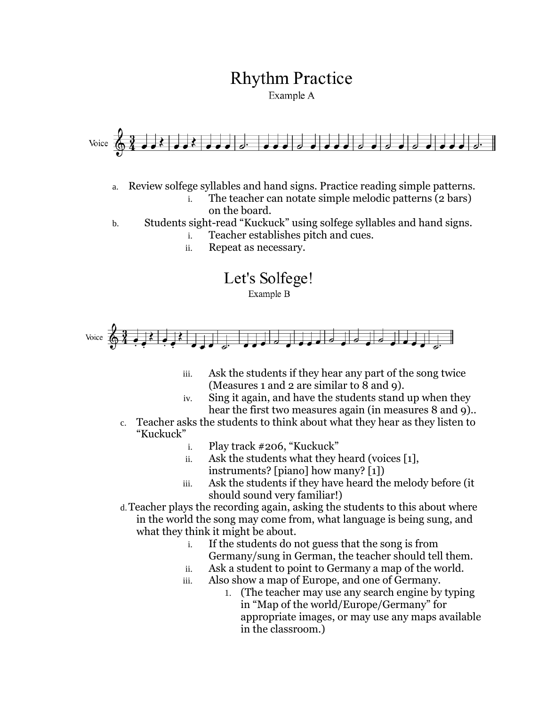# **Rhythm Practice**

Example A



- a. Review solfege syllables and hand signs. Practice reading simple patterns.
	- i. The teacher can notate simple melodic patterns (2 bars) on the board.
- b. Students sight-read "Kuckuck" using solfege syllables and hand signs.
	- i. Teacher establishes pitch and cues.
	- ii. Repeat as necessary.

Let's Solfege!

Example B



- iii. Ask the students if they hear any part of the song twice (Measures 1 and 2 are similar to 8 and 9).
- iv. Sing it again, and have the students stand up when they hear the first two measures again (in measures 8 and 9)..
- c. Teacher asks the students to think about what they hear as they listen to "Kuckuck"
	- i. Play track #206, "Kuckuck"
	- ii. Ask the students what they heard (voices [1], instruments? [piano] how many? [1])
	- iii. Ask the students if they have heard the melody before (it should sound very familiar!)
- d.Teacher plays the recording again, asking the students to this about where in the world the song may come from, what language is being sung, and what they think it might be about.
	- i. If the students do not guess that the song is from Germany/sung in German, the teacher should tell them.
	- ii. Ask a student to point to Germany a map of the world.
	- iii. Also show a map of Europe, and one of Germany.
		- 1. (The teacher may use any search engine by typing in "Map of the world/Europe/Germany" for appropriate images, or may use any maps available in the classroom.)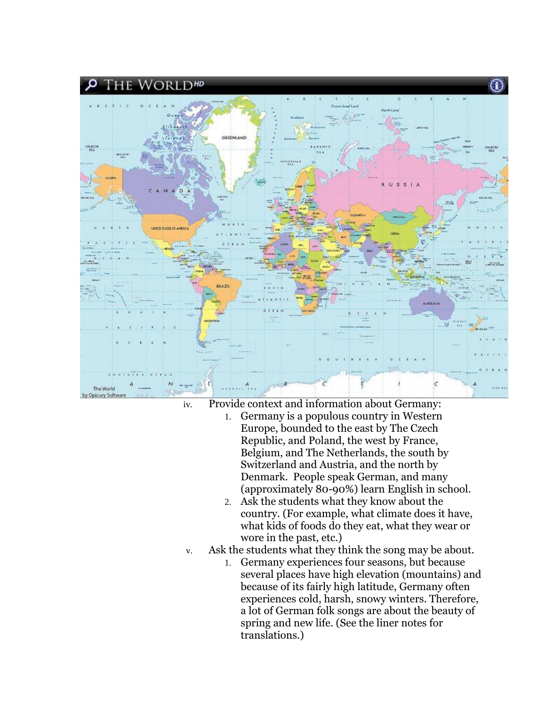

iv. Provide context and information about Germany:

- 1. Germany is a populous country in Western Europe, bounded to the east by The Czech Republic, and Poland, the west by France, Belgium, and The Netherlands, the south by Switzerland and Austria, and the north by Denmark. People speak German, and many (approximately 80-90%) learn English in school.
- 2. Ask the students what they know about the country. (For example, what climate does it have, what kids of foods do they eat, what they wear or wore in the past, etc.)
- v. Ask the students what they think the song may be about.
	- 1. Germany experiences four seasons, but because several places have high elevation (mountains) and because of its fairly high latitude, Germany often experiences cold, harsh, snowy winters. Therefore, a lot of German folk songs are about the beauty of spring and new life. (See the liner notes for translations.)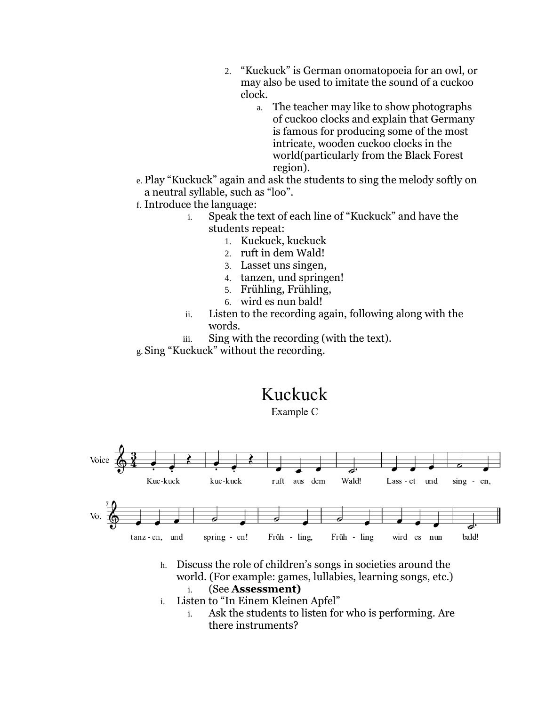- 2. "Kuckuck" is German onomatopoeia for an owl, or may also be used to imitate the sound of a cuckoo clock.
	- a. The teacher may like to show photographs of cuckoo clocks and explain that Germany is famous for producing some of the most intricate, wooden cuckoo clocks in the world(particularly from the Black Forest region).
- e. Play "Kuckuck" again and ask the students to sing the melody softly on a neutral syllable, such as "loo".
- f. Introduce the language:
	- i. Speak the text of each line of "Kuckuck" and have the students repeat:
		- 1. Kuckuck, kuckuck
		- 2. ruft in dem Wald!
		- 3. Lasset uns singen,
		- 4. tanzen, und springen!
		- 5. Frühling, Frühling,
		- 6. wird es nun bald!
	- ii. Listen to the recording again, following along with the words.
	- iii. Sing with the recording (with the text).
- g.Sing "Kuckuck" without the recording.

# Kuckuck

Example C



- h. Discuss the role of children's songs in societies around the world. (For example: games, lullabies, learning songs, etc.) i. (See **Assessment)**
- i. Listen to "In Einem Kleinen Apfel"
	- i. Ask the students to listen for who is performing. Are there instruments?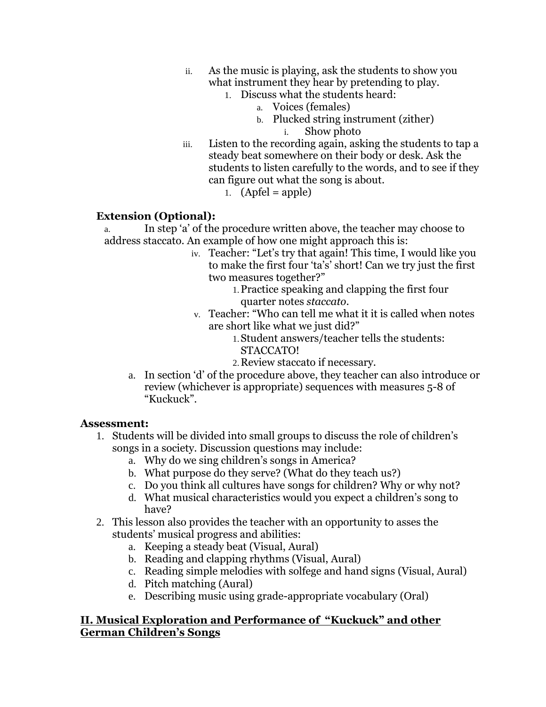- ii. As the music is playing, ask the students to show you what instrument they hear by pretending to play.
	- 1. Discuss what the students heard:
		- a. Voices (females)
		- b. Plucked string instrument (zither) i. Show photo
- iii. Listen to the recording again, asking the students to tap a steady beat somewhere on their body or desk. Ask the students to listen carefully to the words, and to see if they can figure out what the song is about.
	- 1.  $(Apfel = apple)$

#### **Extension (Optional):**

- a. In step 'a' of the procedure written above, the teacher may choose to address staccato. An example of how one might approach this is:
	- iv. Teacher: "Let's try that again! This time, I would like you to make the first four 'ta's' short! Can we try just the first two measures together?"
		- 1.Practice speaking and clapping the first four quarter notes *staccato.*
	- v. Teacher: "Who can tell me what it it is called when notes are short like what we just did?"
		- 1.Student answers/teacher tells the students: STACCATO!
		- 2.Review staccato if necessary.
	- a. In section 'd' of the procedure above, they teacher can also introduce or review (whichever is appropriate) sequences with measures 5-8 of "Kuckuck".

#### **Assessment:**

- 1. Students will be divided into small groups to discuss the role of children's songs in a society. Discussion questions may include:
	- a. Why do we sing children's songs in America?
	- b. What purpose do they serve? (What do they teach us?)
	- c. Do you think all cultures have songs for children? Why or why not?
	- d. What musical characteristics would you expect a children's song to have?
- 2. This lesson also provides the teacher with an opportunity to asses the students' musical progress and abilities:
	- a. Keeping a steady beat (Visual, Aural)
	- b. Reading and clapping rhythms (Visual, Aural)
	- c. Reading simple melodies with solfege and hand signs (Visual, Aural)
	- d. Pitch matching (Aural)
	- e. Describing music using grade-appropriate vocabulary (Oral)

#### **II. Musical Exploration and Performance of "Kuckuck" and other German Children's Songs**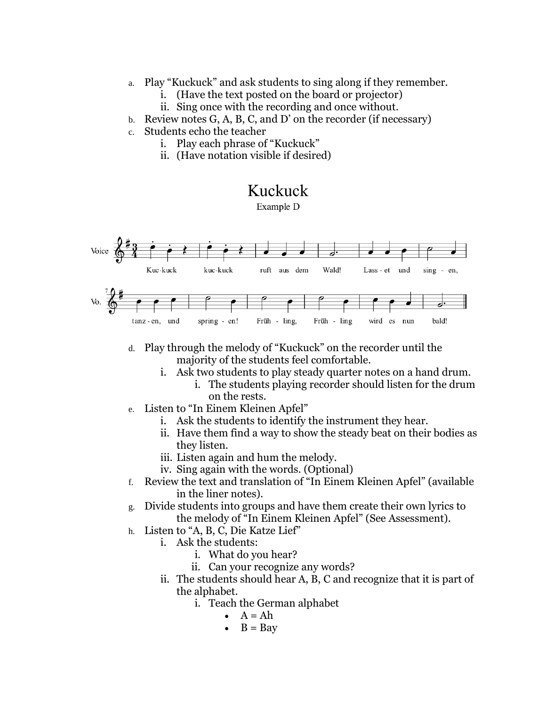- a. Play "Kuckuck" and ask students to sing along if they remember.
	- i. (Have the text posted on the board or projector)
	- ii. Sing once with the recording and once without.
- b. Review notes G, A, B, C, and D' on the recorder (if necessary)
- c. Students echo the teacher
	- i. Play each phrase of "Kuckuck"
	- ii. (Have notation visible if desired)

## Kuckuck

Example D



- d. Play through the melody of "Kuckuck" on the recorder until the majority of the students feel comfortable.
	- i. Ask two students to play steady quarter notes on a hand drum.
		- i. The students playing recorder should listen for the drum on the rests.
- e. Listen to "In Einem Kleinen Apfel"
	- i. Ask the students to identify the instrument they hear.
	- ii. Have them find a way to show the steady beat on their bodies as they listen.
	- iii. Listen again and hum the melody.
	- iv. Sing again with the words. (Optional)
- f. Review the text and translation of "In Einem Kleinen Apfel" (available in the liner notes).
- g. Divide students into groups and have them create their own lyrics to the melody of "In Einem Kleinen Apfel" (See Assessment).
- h. Listen to "A, B, C, Die Katze Lief"
	- i. Ask the students:
		- i. What do you hear?
			- ii. Can your recognize any words?
	- ii. The students should hear A, B, C and recognize that it is part of the alphabet.
		- i. Teach the German alphabet
			- $A = Ah$
			- $\bullet$  B = Bay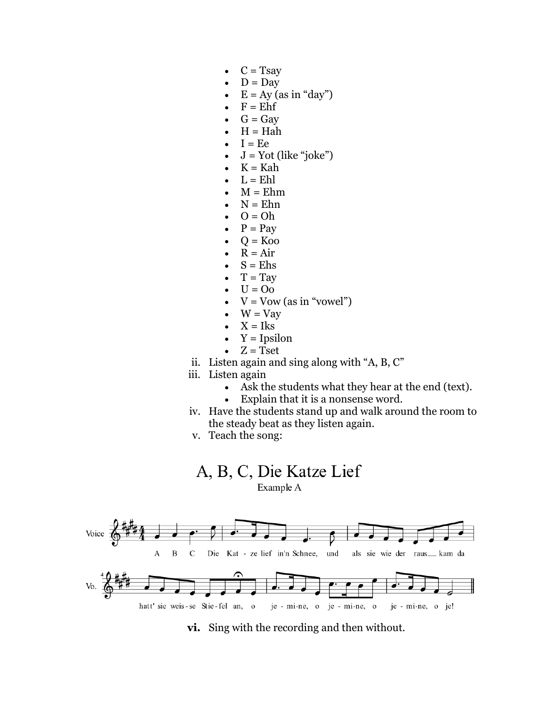- $\bullet$  C = Tsay
- $D = Day$
- $E = Ay$  (as in "day")
- $F = Ehf$
- $G = Gav$
- $H = Hah$
- $I = Ee$
- $J = Yot$  (like "joke")
- $\bullet$  K = Kah
- $\bullet$  L = Ehl
- $M = Ehm$
- $N = Ehn$
- $O = Oh$
- $P = Pay$
- $Q = Koo$
- $\bullet$  R = Air
- $S = E$ hs
- $T = Tay$
- $\bullet$  U = Oo
- $\bullet$   $V = Vow$  (as in "vowel")
- $\bullet$  W = Vay
- $\bullet$   $X = Iks$
- $\bullet$  Y = Ipsilon
- $Z = Tset$
- ii. Listen again and sing along with "A, B, C"
- iii. Listen again
	- Ask the students what they hear at the end (text).
	- Explain that it is a nonsense word.
- iv. Have the students stand up and walk around the room to the steady beat as they listen again.
- v. Teach the song:







**vi.** Sing with the recording and then without.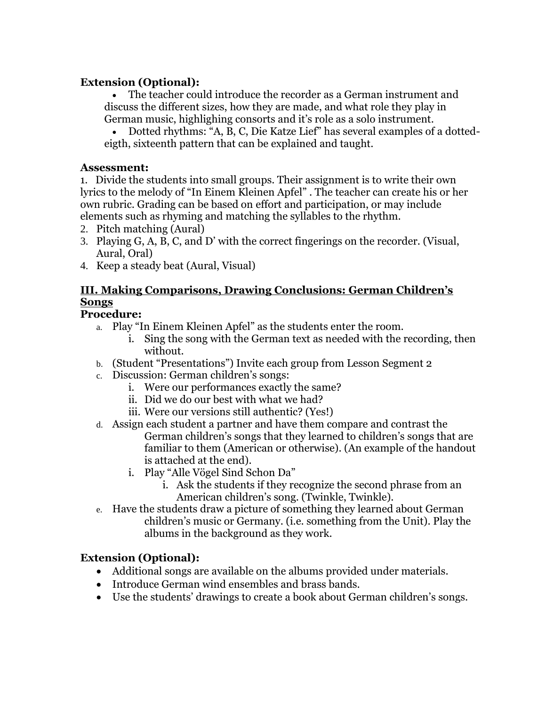## **Extension (Optional):**

 The teacher could introduce the recorder as a German instrument and discuss the different sizes, how they are made, and what role they play in German music, highlighing consorts and it's role as a solo instrument.

 Dotted rhythms: "A, B, C, Die Katze Lief" has several examples of a dottedeigth, sixteenth pattern that can be explained and taught.

#### **Assessment:**

1. Divide the students into small groups. Their assignment is to write their own lyrics to the melody of "In Einem Kleinen Apfel" . The teacher can create his or her own rubric. Grading can be based on effort and participation, or may include elements such as rhyming and matching the syllables to the rhythm.

- 2. Pitch matching (Aural)
- 3. Playing G, A, B, C, and D' with the correct fingerings on the recorder. (Visual, Aural, Oral)
- 4. Keep a steady beat (Aural, Visual)

## **III. Making Comparisons, Drawing Conclusions: German Children's Songs**

## **Procedure:**

- a. Play "In Einem Kleinen Apfel" as the students enter the room.
	- i. Sing the song with the German text as needed with the recording, then without.
- b. (Student "Presentations") Invite each group from Lesson Segment 2
- c. Discussion: German children's songs:
	- i. Were our performances exactly the same?
	- ii. Did we do our best with what we had?
	- iii. Were our versions still authentic? (Yes!)
- d. Assign each student a partner and have them compare and contrast the German children's songs that they learned to children's songs that are familiar to them (American or otherwise). (An example of the handout is attached at the end).
	- i. Play "Alle Vögel Sind Schon Da"
		- i. Ask the students if they recognize the second phrase from an American children's song. (Twinkle, Twinkle).
- e. Have the students draw a picture of something they learned about German children's music or Germany. (i.e. something from the Unit). Play the albums in the background as they work.

## **Extension (Optional):**

- Additional songs are available on the albums provided under materials.
- Introduce German wind ensembles and brass bands.
- Use the students' drawings to create a book about German children's songs.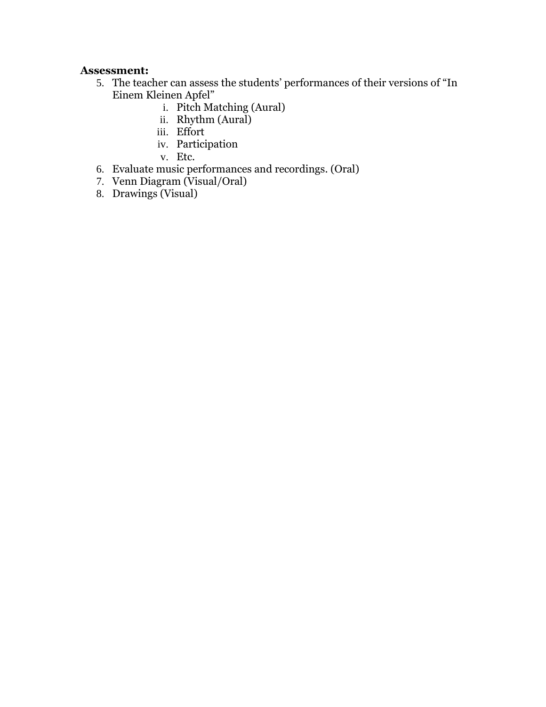#### **Assessment:**

- 5. The teacher can assess the students' performances of their versions of "In Einem Kleinen Apfel"
	- i. Pitch Matching (Aural)
	- ii. Rhythm (Aural)
	- iii. Effort
	- iv. Participation
	- v. Etc.
- 6. Evaluate music performances and recordings. (Oral)
- 7. Venn Diagram (Visual/Oral)
- 8. Drawings (Visual)